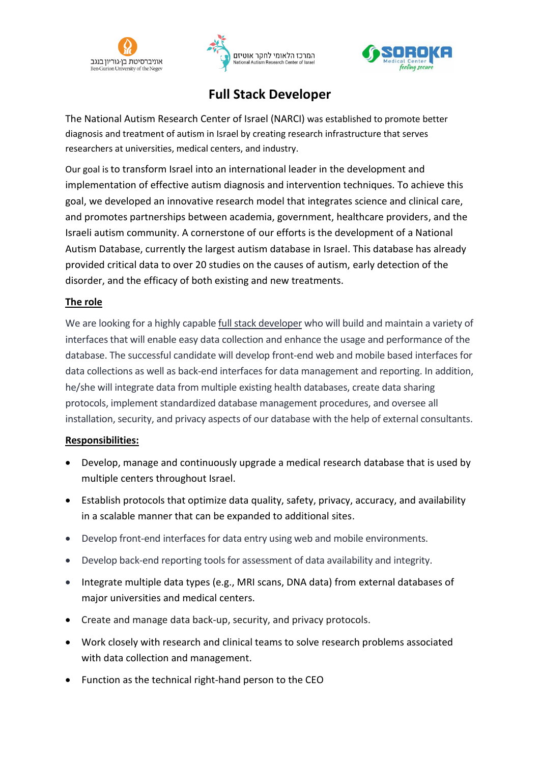





# **Full Stack Developer**

The National Autism Research Center of Israel (NARCI) was established to promote better diagnosis and treatment of autism in Israel by creating research infrastructure that serves researchers at universities, medical centers, and industry.

Our goal is to transform Israel into an international leader in the development and implementation of effective autism diagnosis and intervention techniques. To achieve this goal, we developed an innovative research model that integrates science and clinical care, and promotes partnerships between academia, government, healthcare providers, and the Israeli autism community. A cornerstone of our efforts is the development of a National Autism Database, currently the largest autism database in Israel. This database has already provided critical data to over 20 studies on the causes of autism, early detection of the disorder, and the efficacy of both existing and new treatments.

## **The role**

We are looking for a highly capable full stack developer who will build and maintain a variety of interfaces that will enable easy data collection and enhance the usage and performance of the database. The successful candidate will develop front-end web and mobile based interfaces for data collections as well as back-end interfaces for data management and reporting. In addition, he/she will integrate data from multiple existing health databases, create data sharing protocols, implement standardized database management procedures, and oversee all installation, security, and privacy aspects of our database with the help of external consultants.

### **Responsibilities:**

- Develop, manage and continuously upgrade a medical research database that is used by multiple centers throughout Israel.
- Establish protocols that optimize data quality, safety, privacy, accuracy, and availability in a scalable manner that can be expanded to additional sites.
- Develop front-end interfaces for data entry using web and mobile environments.
- Develop back-end reporting tools for assessment of data availability and integrity.
- Integrate multiple data types (e.g., MRI scans, DNA data) from external databases of major universities and medical centers.
- Create and manage data back-up, security, and privacy protocols.
- Work closely with research and clinical teams to solve research problems associated with data collection and management.
- Function as the technical right-hand person to the CEO